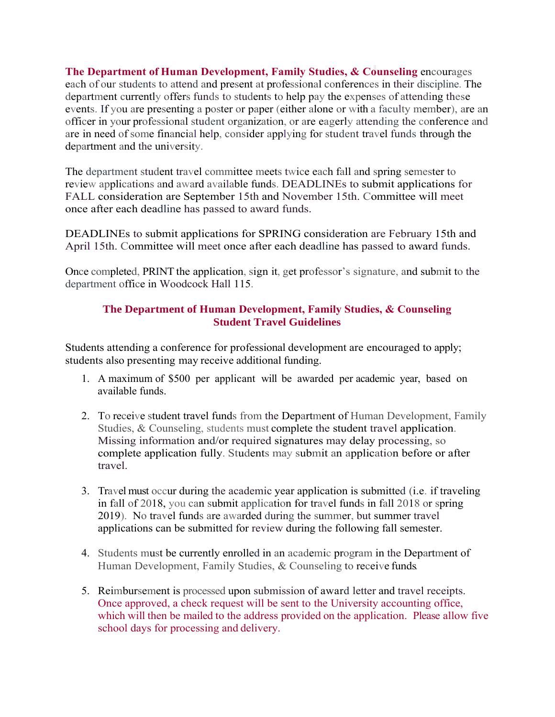**The Department of Human Development, Family Studies, & Counseling encourages** each of our students to attend and present at professional conferences in their discipline. The department currently offers funds to students to help pay the expenses of attending these events. If you are presenting a poster or paper (either alone or with a faculty member), are an officer in your professional student organization, or are eagerly attending the conference and are in need of some financial help, consider applying for student travel funds through the department and the university.

The department student travel committee meets twice each fall and spring semester to review applications and award available funds. DEADLINEs to submit applications for FALL consideration are September 15th and November 15th. Committee will meet once after each deadline has passed to award funds.

DEADLINEs to submit applications for SPRING consideration are February 15th and April 15th. Committee will meet once after each deadline has passed to award funds.

Once completed, PRINT the application, sign it, get professor's signature, and submit to the department office in Woodcock Hall 115.

## **The Department of Human Development, Family Studies, & Counseling Student Travel Guidelines**

Students attending a conference for professional development are encouraged to apply; students also presenting may receive additional funding.

- 1. A maximum of \$500 per applicant will be awarded per academic year, based on available funds.
- 2. To receive student travel funds from the Department of Human Development, Family Studies, & Counseling, students must complete the student travel application. Missing information and/or required signatures may delay processing, so complete application fully. Students may submit an application before or after travel.
- 3. Travel must occur during the academic year application is submitted (i.e. if traveling in fall of 2018, you can submit application for travel funds in fall 2018 or spring 2019). No travel funds are awarded during the summer, but summer travel applications can be submitted for review during the following fall semester.
- 4. Students must be currently enrolled in an academic program in the Department of Human Development, Family Studies, & Counseling to receive funds.
- 5. Reimbursement is processed upon submission of award letter and travel receipts. Once approved, a check request will be sent to the University accounting office, which will then be mailed to the address provided on the application. Please allow five school days for processing and delivery.